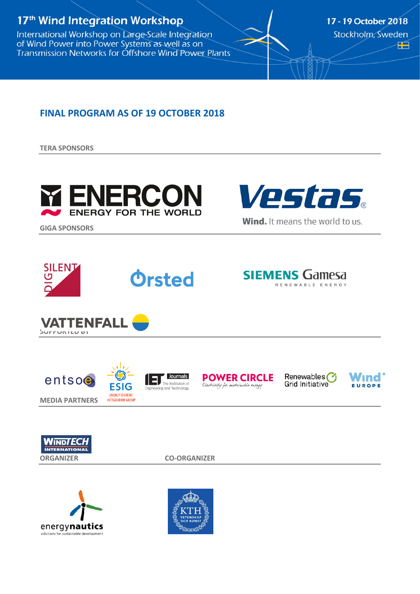# 17<sup>th</sup> Wind Integration Workshop

International Workshop on Large-Scale Integration of Wind Power into Power Systems as well as on Transmission Networks for Offshore Wind Power Plants 17 - 19 October 2018 Stockholm, Sweden Æ

### **FINAL PROGRAM AS OF 19 OCTOBER 2018**

**TERA SPONSORS**





**GIGA SPONSORS**















Renewables<sup>(1</sup>) **Grid Initiative** 

Wınd ' EUROPE





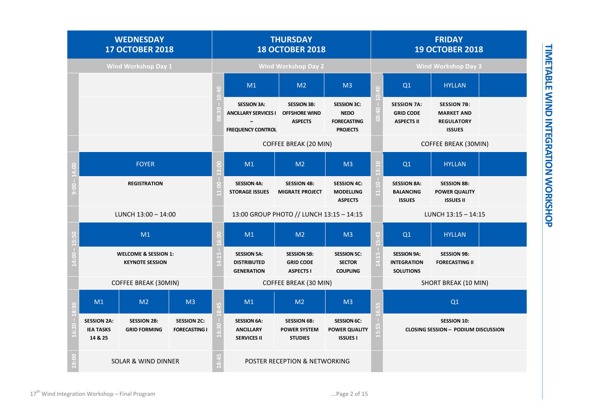| <b>WEDNESDAY</b><br><b>17 OCTOBER 2018</b> |                                                           |                                           |                                            | <b>THURSDAY</b><br><b>18 OCTOBER 2018</b> |                                                                               |                                                              | <b>FRIDAY</b><br><b>19 OCTOBER 2018</b>                                    |                      |                                                                  |                                                                               |  |  |
|--------------------------------------------|-----------------------------------------------------------|-------------------------------------------|--------------------------------------------|-------------------------------------------|-------------------------------------------------------------------------------|--------------------------------------------------------------|----------------------------------------------------------------------------|----------------------|------------------------------------------------------------------|-------------------------------------------------------------------------------|--|--|
| <b>Wind Workshop Day 1</b>                 |                                                           |                                           |                                            | <b>Wind Workshop Day 2</b>                |                                                                               |                                                              |                                                                            |                      | <b>Wind Workshop Day 3</b>                                       |                                                                               |  |  |
|                                            |                                                           |                                           |                                            |                                           | M1                                                                            | M <sub>2</sub>                                               | M <sub>3</sub>                                                             |                      | Q1                                                               | <b>HYLLAN</b>                                                                 |  |  |
|                                            |                                                           |                                           |                                            |                                           | <b>SESSION 3A:</b><br><b>ANCILLARY SERVICES I</b><br><b>FREQUENCY CONTROL</b> | <b>SESSION 3B:</b><br><b>OFFSHORE WIND</b><br><b>ASPECTS</b> | <b>SESSION 3C:</b><br><b>NEDO</b><br><b>FORECASTING</b><br><b>PROJECTS</b> |                      | <b>SESSION 7A:</b><br><b>GRID CODE</b><br><b>ASPECTS II</b>      | <b>SESSION 7B:</b><br><b>MARKET AND</b><br><b>REGULATORY</b><br><b>ISSUES</b> |  |  |
|                                            |                                                           |                                           |                                            |                                           |                                                                               | COFFEE BREAK (20 MIN)                                        |                                                                            |                      | <b>COFFEE BREAK (30MIN)</b>                                      |                                                                               |  |  |
|                                            | <b>FOYER</b>                                              |                                           |                                            |                                           | M1                                                                            | M <sub>2</sub>                                               | M <sub>3</sub>                                                             |                      | Q1                                                               | <b>HYLLAN</b>                                                                 |  |  |
|                                            | <b>REGISTRATION</b>                                       |                                           |                                            |                                           | <b>SESSION 4A:</b><br><b>STORAGE ISSUES</b>                                   | <b>SESSION 4B:</b><br><b>MIGRATE PROJECT</b>                 | <b>SESSION 4C:</b><br><b>MODELLING</b><br><b>ASPECTS</b>                   |                      | <b>SESSION 8A:</b><br><b>BALANCING</b><br><b>ISSUES</b>          | <b>SESSION 8B:</b><br><b>POWER QUALITY</b><br><b>ISSUES II</b>                |  |  |
|                                            | LUNCH $13:00 - 14:00$                                     |                                           |                                            |                                           | 13:00 GROUP PHOTO // LUNCH 13:15 - 14:15                                      |                                                              |                                                                            |                      | LUNCH 13:15 - 14:15                                              |                                                                               |  |  |
|                                            | M1                                                        |                                           |                                            | M1                                        | M <sub>2</sub>                                                                | M <sub>3</sub>                                               |                                                                            | Q1                   | <b>HYLLAN</b>                                                    |                                                                               |  |  |
|                                            | <b>WELCOME &amp; SESSION 1:</b><br><b>KEYNOTE SESSION</b> |                                           |                                            |                                           | <b>SESSION 5A:</b><br><b>DISTRIBUTED</b><br><b>GENERATION</b>                 | <b>SESSION 5B:</b><br><b>GRID CODE</b><br><b>ASPECTS I</b>   | <b>SESSION 5C:</b><br><b>SECTOR</b><br><b>COUPLING</b>                     |                      | <b>SESSION 9A:</b><br><b>INTEGRATION</b><br><b>SOLUTIONS</b>     | <b>SESSION 9B:</b><br><b>FORECASTING II</b>                                   |  |  |
|                                            | COFFEE BREAK (30MIN)                                      |                                           |                                            | COFFEE BREAK (30 MIN)                     |                                                                               |                                                              |                                                                            | SHORT BREAK (10 MIN) |                                                                  |                                                                               |  |  |
|                                            | M1<br>M <sub>3</sub><br>M <sub>2</sub>                    |                                           |                                            | M1                                        | M <sub>2</sub>                                                                | M <sub>3</sub>                                               |                                                                            |                      | Q1                                                               |                                                                               |  |  |
|                                            | <b>SESSION 2A:</b><br><b>IEA TASKS</b><br>14 & 25         | <b>SESSION 2B:</b><br><b>GRID FORMING</b> | <b>SESSION 2C:</b><br><b>FORECASTING I</b> |                                           | <b>SESSION 6A:</b><br><b>ANCILLARY</b><br><b>SERVICES II</b>                  | <b>SESSION 6B:</b><br><b>POWER SYSTEM</b><br><b>STUDIES</b>  | <b>SESSION 6C:</b><br><b>POWER QUALITY</b><br><b>ISSUES I</b>              |                      | <b>SESSION 10:</b><br><b>CLOSING SESSION - PODIUM DISCUSSION</b> |                                                                               |  |  |
| 19:0                                       | <b>SOLAR &amp; WIND DINNER</b>                            |                                           |                                            |                                           | POSTER RECEPTION & NETWORKING                                                 |                                                              |                                                                            |                      |                                                                  |                                                                               |  |  |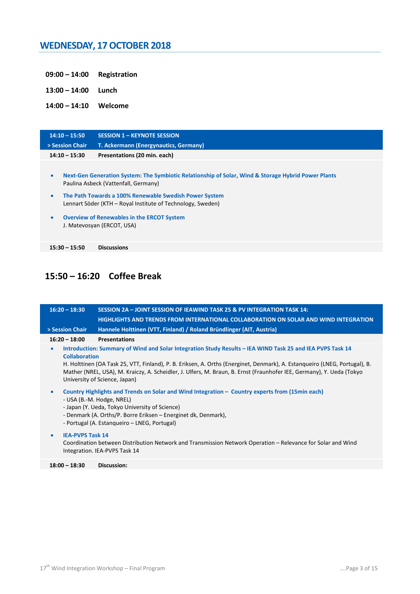### **WEDNESDAY, 17 OCTOBER 2018**

- **09:00 – 14:00 Registration**
- **13:00 – 14:00 Lunch**

**14:00 – 14:10 Welcome**

| $14:10 - 15:50$                     | <b>SESSION 1 - KEYNOTE SESSION</b>                                                                                                                                                                                                                                                                                                                      |
|-------------------------------------|---------------------------------------------------------------------------------------------------------------------------------------------------------------------------------------------------------------------------------------------------------------------------------------------------------------------------------------------------------|
| > Session Chair                     | T. Ackermann (Energynautics, Germany)                                                                                                                                                                                                                                                                                                                   |
| $14:10 - 15:30$                     | Presentations (20 min. each)                                                                                                                                                                                                                                                                                                                            |
| $\bullet$<br>$\bullet$<br>$\bullet$ | Next-Gen Generation System: The Symbiotic Relationship of Solar, Wind & Storage Hybrid Power Plants<br>Paulina Asbeck (Vattenfall, Germany)<br>The Path Towards a 100% Renewable Swedish Power System<br>Lennart Söder (KTH – Royal Institute of Technology, Sweden)<br><b>Overview of Renewables in the ERCOT System</b><br>J. Matevosyan (ERCOT, USA) |
| $15:30 - 15:50$                     | <b>Discussions</b>                                                                                                                                                                                                                                                                                                                                      |

## **15:50 – 16:20 Coffee Break**

| $16:20 - 18:30$                      | SESSION 2A - JOINT SESSION OF IEAWIND TASK 25 & PV INTEGRATION TASK 14:                                                                                                                                                                                                                                                                                                                           |
|--------------------------------------|---------------------------------------------------------------------------------------------------------------------------------------------------------------------------------------------------------------------------------------------------------------------------------------------------------------------------------------------------------------------------------------------------|
|                                      | HIGHLIGHTS AND TRENDS FROM INTERNATIONAL COLLABORATION ON SOLAR AND WIND INTEGRATION                                                                                                                                                                                                                                                                                                              |
| > Session Chair                      | Hannele Holttinen (VTT, Finland) / Roland Bründlinger (AIT, Austria)                                                                                                                                                                                                                                                                                                                              |
| $16:20 - 18:00$                      | <b>Presentations</b>                                                                                                                                                                                                                                                                                                                                                                              |
| $\bullet$<br><b>Collaboration</b>    | Introduction: Summary of Wind and Solar Integration Study Results – IEA WIND Task 25 and IEA PVPS Task 14<br>H. Holttinen (OA Task 25, VTT, Finland), P. B. Eriksen, A. Orths (Energinet, Denmark), A. Estangueiro (LNEG, Portugal), B.<br>Mather (NREL, USA), M. Kraiczy, A. Scheidler, J. Ulfers, M. Braun, B. Ernst (Fraunhofer IEE, Germany), Y. Ueda (Tokyo<br>University of Science, Japan) |
| $\bullet$                            | Country Highlights and Trends on Solar and Wind Integration – Country experts from (15min each)<br>- USA (B.-M. Hodge, NREL)<br>- Japan (Y. Ueda, Tokyo University of Science)<br>- Denmark (A. Orths/P. Borre Eriksen – Energinet dk, Denmark),<br>- Portugal (A. Estangueiro – LNEG, Portugal)                                                                                                  |
| <b>IEA-PVPS Task 14</b><br>$\bullet$ | Coordination between Distribution Network and Transmission Network Operation – Relevance for Solar and Wind<br>Integration. IEA-PVPS Task 14                                                                                                                                                                                                                                                      |

**18:00 – 18:30 Discussion:**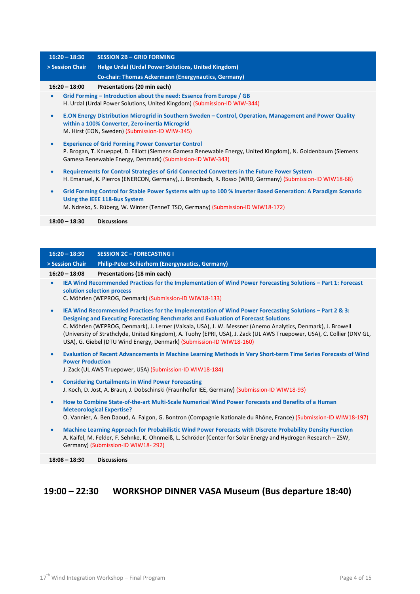|                 | $16:20 - 18:30$                                                                                                                                                                                         | <b>SESSION 2B - GRID FORMING</b>                                                                                                                                                                                                       |  |  |  |  |
|-----------------|---------------------------------------------------------------------------------------------------------------------------------------------------------------------------------------------------------|----------------------------------------------------------------------------------------------------------------------------------------------------------------------------------------------------------------------------------------|--|--|--|--|
| > Session Chair |                                                                                                                                                                                                         | Helge Urdal (Urdal Power Solutions, United Kingdom)                                                                                                                                                                                    |  |  |  |  |
|                 |                                                                                                                                                                                                         | <b>Co-chair: Thomas Ackermann (Energynautics, Germany)</b>                                                                                                                                                                             |  |  |  |  |
|                 | $16:20 - 18:00$                                                                                                                                                                                         | Presentations (20 min each)                                                                                                                                                                                                            |  |  |  |  |
|                 |                                                                                                                                                                                                         | Grid Forming – Introduction about the need: Essence from Europe / GB<br>H. Urdal (Urdal Power Solutions, United Kingdom) (Submission-ID WIW-344)                                                                                       |  |  |  |  |
| $\bullet$       |                                                                                                                                                                                                         | E.ON Energy Distribution Microgrid in Southern Sweden – Control, Operation, Management and Power Quality<br>within a 100% Converter, Zero-inertia Microgrid<br>M. Hirst (EON, Sweden) (Submission-ID WIW-345)                          |  |  |  |  |
| $\bullet$       |                                                                                                                                                                                                         | <b>Experience of Grid Forming Power Converter Control</b><br>P. Brogan, T. Knueppel, D. Elliott (Siemens Gamesa Renewable Energy, United Kingdom), N. Goldenbaum (Siemens<br>Gamesa Renewable Energy, Denmark) (Submission-ID WIW-343) |  |  |  |  |
| $\bullet$       | Requirements for Control Strategies of Grid Connected Converters in the Future Power System<br>H. Emanuel, K. Pierros (ENERCON, Germany), J. Brombach, R. Rosso (WRD, Germany) (Submission-ID WIW18-68) |                                                                                                                                                                                                                                        |  |  |  |  |
| $\bullet$       |                                                                                                                                                                                                         | Grid Forming Control for Stable Power Systems with up to 100 % Inverter Based Generation: A Paradigm Scenario<br>Using the IEEE 118-Bus System<br>M. Ndreko, S. Rüberg, W. Winter (TenneT TSO, Germany) (Submission-ID WIW18-172)      |  |  |  |  |
|                 | $18:00 - 18:30$                                                                                                                                                                                         | <b>Discussions</b>                                                                                                                                                                                                                     |  |  |  |  |
|                 |                                                                                                                                                                                                         |                                                                                                                                                                                                                                        |  |  |  |  |

#### **> Session Chair Philip-Peter Schierhorn (Energynautics, Germany) 16:20 – 18:08 Presentations (18 min each)** • **IEA Wind Recommended Practices for the Implementation of Wind Power Forecasting Solutions – Part 1: Forecast solution selection process** C. Möhrlen (WEPROG, Denmark) (Submission-ID WIW18-133) • **IEA Wind Recommended Practices for the Implementation of Wind Power Forecasting Solutions – Part 2 & 3: Designing and Executing Forecasting Benchmarks and Evaluation of Forecast Solutions** C. Möhrlen (WEPROG, Denmark), J. Lerner (Vaisala, USA), J. W. Messner (Anemo Analytics, Denmark), J. Browell (University of Strathclyde, United Kingdom), A. Tuohy (EPRI, USA), J. Zack (UL AWS Truepower, USA), C. Collier (DNV GL, USA), G. Giebel (DTU Wind Energy, Denmark) (Submission-ID WIW18-160) • **Evaluation of Recent Advancements in Machine Learning Methods in Very Short-term Time Series Forecasts of Wind Power Production** J. Zack (UL AWS Truepower, USA) (Submission-ID WIW18-184) • **Considering Curtailments in Wind Power Forecasting** J. Koch, D. Jost, A. Braun, J. Dobschinski (Fraunhofer IEE, Germany) (Submission-ID WIW18-93)

- **How to Combine State-of-the-art Multi-Scale Numerical Wind Power Forecasts and Benefits of a Human Meteorological Expertise?** O. Vannier, A. Ben Daoud, A. Falgon, G. Bontron (Compagnie Nationale du Rhône, France) (Submission-ID WIW18-197)
- **Machine Learning Approach for Probabilistic Wind Power Forecasts with Discrete Probability Density Function** A. Kaifel, M. Felder, F. Sehnke, K. Ohnmeiß, L. Schröder (Center for Solar Energy and Hydrogen Research – ZSW, Germany) (Submission-ID WIW18- 292)

**18:08 – 18:30 Discussions**

**16:20 – 18:30 SESSION 2C – FORECASTING I**

### **19:00 – 22:30 WORKSHOP DINNER VASA Museum (Bus departure 18:40)**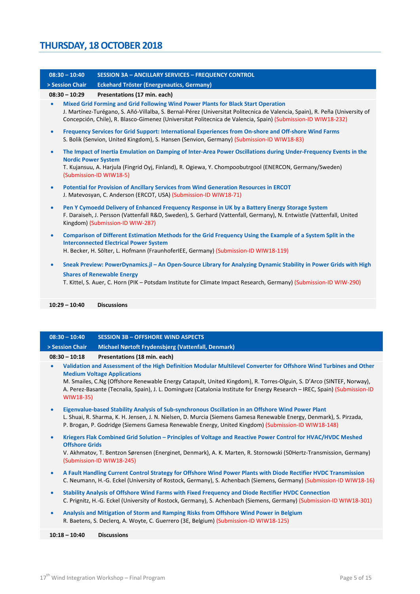| $08:30 - 10:40$ | <b>SESSION 3A - ANCILLARY SERVICES - FREQUENCY CONTROL</b>                                                                                                                                                                                                                                                                       |
|-----------------|----------------------------------------------------------------------------------------------------------------------------------------------------------------------------------------------------------------------------------------------------------------------------------------------------------------------------------|
| > Session Chair | <b>Eckehard Tröster (Energynautics, Germany)</b>                                                                                                                                                                                                                                                                                 |
| $08:30 - 10:29$ | Presentations (17 min. each)                                                                                                                                                                                                                                                                                                     |
| $\bullet$       | Mixed Grid Forming and Grid Following Wind Power Plants for Black Start Operation<br>J. Martínez-Turégano, S. Añó-Villalba, S. Bernal-Pérez (Universitat Politecnica de Valencia, Spain), R. Peña (University of<br>Concepción, Chile), R. Blasco-Gimenez (Universitat Politecnica de Valencia, Spain) (Submission-ID WIW18-232) |
| $\bullet$       | Frequency Services for Grid Support: International Experiences from On-shore and Off-shore Wind Farms<br>S. Bolik (Senvion, United Kingdom), S. Hansen (Senvion, Germany) (Submission-ID WIW18-83)                                                                                                                               |
| $\bullet$       | The Impact of Inertia Emulation on Damping of Inter-Area Power Oscillations during Under-Frequency Events in the<br><b>Nordic Power System</b><br>T. Kujansuu, A. Harjula (Fingrid Oyj, Finland), R. Ogiewa, Y. Chompoobutrgool (ENERCON, Germany/Sweden)<br>(Submission-ID WIW18-5)                                             |
| $\bullet$       | Potential for Provision of Ancillary Services from Wind Generation Resources in ERCOT<br>J. Matevosyan, C. Anderson (ERCOT, USA) (Submission-ID WIW18-71)                                                                                                                                                                        |
| $\bullet$       | Pen Y Cymoedd Delivery of Enhanced Frequency Response in UK by a Battery Energy Storage System<br>F. Daraiseh, J. Persson (Vattenfall R&D, Sweden), S. Gerhard (Vattenfall, Germany), N. Entwistle (Vattenfall, United<br>Kingdom) (Submission-ID WIW-287)                                                                       |
| $\bullet$       | Comparison of Different Estimation Methods for the Grid Frequency Using the Example of a System Split in the<br><b>Interconnected Electrical Power System</b><br>H. Becker, H. Sölter, L. Hofmann (FraunhoferIEE, Germany) (Submission-ID WIW18-119)                                                                             |
| $\bullet$       | Sneak Preview: PowerDynamics.jl - An Open-Source Library for Analyzing Dynamic Stability in Power Grids with High<br><b>Shares of Renewable Energy</b><br>T. Kittel, S. Auer, C. Horn (PIK - Potsdam Institute for Climate Impact Research, Germany) (Submission-ID WIW-290)                                                     |
| $10:29 - 10:40$ | <b>Discussions</b>                                                                                                                                                                                                                                                                                                               |
|                 |                                                                                                                                                                                                                                                                                                                                  |

|           | > Session Chair       | Michael Nørtoft Frydensbjerg (Vattenfall, Denmark)                                                                                                                                                                                                                                                                                                                                                             |
|-----------|-----------------------|----------------------------------------------------------------------------------------------------------------------------------------------------------------------------------------------------------------------------------------------------------------------------------------------------------------------------------------------------------------------------------------------------------------|
|           | $08:30 - 10:18$       | Presentations (18 min. each)                                                                                                                                                                                                                                                                                                                                                                                   |
| $\bullet$ | WIW18-35)             | Validation and Assessment of the High Definition Modular Multilevel Converter for Offshore Wind Turbines and Other<br><b>Medium Voltage Applications</b><br>M. Smailes, C.Ng (Offshore Renewable Energy Catapult, United Kingdom), R. Torres-Olguin, S. D'Arco (SINTEF, Norway),<br>A. Perez-Basante (Tecnalia, Spain), J. L. Dominguez (Catalonia Institute for Energy Research - IREC, Spain) (Submission-ID |
| $\bullet$ |                       | Eigenvalue-based Stability Analysis of Sub-synchronous Oscillation in an Offshore Wind Power Plant<br>L. Shuai, R. Sharma, K. H. Jensen, J. N. Nielsen, D. Murcia (Siemens Gamesa Renewable Energy, Denmark), S. Pirzada,<br>P. Brogan, P. Godridge (Siemens Gamesa Renewable Energy, United Kingdom) (Submission-ID WIW18-148)                                                                                |
| $\bullet$ | <b>Offshore Grids</b> | Kriegers Flak Combined Grid Solution - Principles of Voltage and Reactive Power Control for HVAC/HVDC Meshed<br>V. Akhmatov, T. Bentzon Sørensen (Energinet, Denmark), A. K. Marten, R. Stornowski (50Hertz-Transmission, Germany)<br>(Submission-ID WIW18-245)                                                                                                                                                |
| $\bullet$ |                       | A Fault Handling Current Control Strategy for Offshore Wind Power Plants with Diode Rectifier HVDC Transmission<br>C. Neumann, H.-G. Eckel (University of Rostock, Germany), S. Achenbach (Siemens, Germany) (Submission-ID WIW18-16)                                                                                                                                                                          |

- **Stability Analysis of Offshore Wind Farms with Fixed Frequency and Diode Rectifier HVDC Connection** C. Prignitz, H.-G. Eckel (University of Rostock, Germany), S. Achenbach (Siemens, Germany) (Submission-ID WIW18-301)
- **Analysis and Mitigation of Storm and Ramping Risks from Offshore Wind Power in Belgium** R. Baetens, S. Declerq, A. Woyte, C. Guerrero (3E, Belgium) (Submission-ID WIW18-125)

**10:18 – 10:40 Discussions**

**08:30 – 10:40 SESSION 3B – OFFSHORE WIND ASPECTS**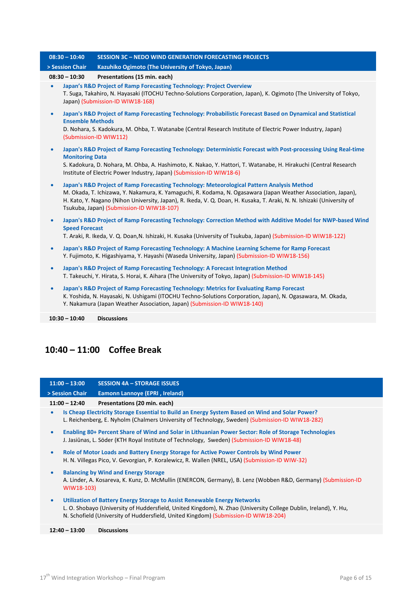|           | $08:30 - 10:40$         | <b>SESSION 3C - NEDO WIND GENERATION FORECASTING PROJECTS</b>                                                                                                                                                                                                                                                                                                                      |
|-----------|-------------------------|------------------------------------------------------------------------------------------------------------------------------------------------------------------------------------------------------------------------------------------------------------------------------------------------------------------------------------------------------------------------------------|
|           | > Session Chair         | Kazuhiko Ogimoto (The University of Tokyo, Japan)                                                                                                                                                                                                                                                                                                                                  |
|           | $08:30 - 10:30$         | Presentations (15 min. each)                                                                                                                                                                                                                                                                                                                                                       |
| $\bullet$ |                         | Japan's R&D Project of Ramp Forecasting Technology: Project Overview<br>T. Suga, Takahiro, N. Hayasaki (ITOCHU Techno-Solutions Corporation, Japan), K. Ogimoto (The University of Tokyo,<br>Japan) (Submission-ID WIW18-168)                                                                                                                                                      |
| $\bullet$ | <b>Ensemble Methods</b> | Japan's R&D Project of Ramp Forecasting Technology: Probabilistic Forecast Based on Dynamical and Statistical<br>D. Nohara, S. Kadokura, M. Ohba, T. Watanabe (Central Research Institute of Electric Power Industry, Japan)<br>(Submission-ID WIW112)                                                                                                                             |
| $\bullet$ | <b>Monitoring Data</b>  | Japan's R&D Project of Ramp Forecasting Technology: Deterministic Forecast with Post-processing Using Real-time<br>S. Kadokura, D. Nohara, M. Ohba, A. Hashimoto, K. Nakao, Y. Hattori, T. Watanabe, H. Hirakuchi (Central Research<br>Institute of Electric Power Industry, Japan) (Submission-ID WIW18-6)                                                                        |
| $\bullet$ |                         | Japan's R&D Project of Ramp Forecasting Technology: Meteorological Pattern Analysis Method<br>M. Okada, T. Ichizawa, Y. Nakamura, K. Yamaguchi, R. Kodama, N. Ogasawara (Japan Weather Association, Japan),<br>H. Kato, Y. Nagano (Nihon University, Japan), R. Ikeda, V. Q. Doan, H. Kusaka, T. Araki, N. N. Ishizaki (University of<br>Tsukuba, Japan) (Submission-ID WIW18-107) |
| $\bullet$ | <b>Speed Forecast</b>   | Japan's R&D Project of Ramp Forecasting Technology: Correction Method with Additive Model for NWP-based Wind<br>T. Araki, R. Ikeda, V. Q. Doan, N. Ishizaki, H. Kusaka (University of Tsukuba, Japan) (Submission-ID WIW18-122)                                                                                                                                                    |
| $\bullet$ |                         | Japan's R&D Project of Ramp Forecasting Technology: A Machine Learning Scheme for Ramp Forecast<br>Y. Fujimoto, K. Higashiyama, Y. Hayashi (Waseda University, Japan) (Submission-ID WIW18-156)                                                                                                                                                                                    |
| $\bullet$ |                         | Japan's R&D Project of Ramp Forecasting Technology: A Forecast Integration Method<br>T. Takeuchi, Y. Hirata, S. Horai, K. Aihara (The University of Tokyo, Japan) (Submission-ID WIW18-145)                                                                                                                                                                                        |
| $\bullet$ |                         | Japan's R&D Project of Ramp Forecasting Technology: Metrics for Evaluating Ramp Forecast<br>K. Yoshida, N. Hayasaki, N. Ushigami (ITOCHU Techno-Solutions Corporation, Japan), N. Ogasawara, M. Okada,<br>Y. Nakamura (Japan Weather Association, Japan) (Submission-ID WIW18-140)                                                                                                 |
|           | $10:30 - 10:40$         | <b>Discussions</b>                                                                                                                                                                                                                                                                                                                                                                 |

## **10:40 – 11:00 Coffee Break**

| $11:00 - 13:00$ | <b>SESSION 4A - STORAGE ISSUES</b>                                                                                                                                                                                                                                                   |  |  |  |  |
|-----------------|--------------------------------------------------------------------------------------------------------------------------------------------------------------------------------------------------------------------------------------------------------------------------------------|--|--|--|--|
| > Session Chair | Eamonn Lannoye (EPRI, Ireland)                                                                                                                                                                                                                                                       |  |  |  |  |
| $11:00 - 12:40$ | Presentations (20 min. each)                                                                                                                                                                                                                                                         |  |  |  |  |
| $\bullet$       | Is Cheap Electricity Storage Essential to Build an Energy System Based on Wind and Solar Power?<br>L. Reichenberg, E. Nyholm (Chalmers University of Technology, Sweden) (Submission-ID WIW18-282)                                                                                   |  |  |  |  |
| $\bullet$       | Enabling 80+ Percent Share of Wind and Solar in Lithuanian Power Sector: Role of Storage Technologies<br>J. Jasiūnas, L. Söder (KTH Royal Institute of Technology, Sweden) (Submission-ID WIW18-48)                                                                                  |  |  |  |  |
| $\bullet$       | Role of Motor Loads and Battery Energy Storage for Active Power Controls by Wind Power<br>H. N. Villegas Pico, V. Gevorgian, P. Koralewicz, R. Wallen (NREL, USA) (Submission-ID WIW-32)                                                                                             |  |  |  |  |
| $\bullet$       | <b>Balancing by Wind and Energy Storage</b><br>A. Linder, A. Kosareva, K. Kunz, D. McMullin (ENERCON, Germany), B. Lenz (Wobben R&D, Germany) (Submission-ID<br>WIW18-103)                                                                                                           |  |  |  |  |
| $\bullet$       | Utilization of Battery Energy Storage to Assist Renewable Energy Networks<br>L. O. Shobayo (University of Huddersfield, United Kingdom), N. Zhao (University College Dublin, Ireland), Y. Hu,<br>N. Schofield (University of Huddersfield, United Kingdom) (Submission-ID WIW18-204) |  |  |  |  |
| $12:40 - 13:00$ | <b>Discussions</b>                                                                                                                                                                                                                                                                   |  |  |  |  |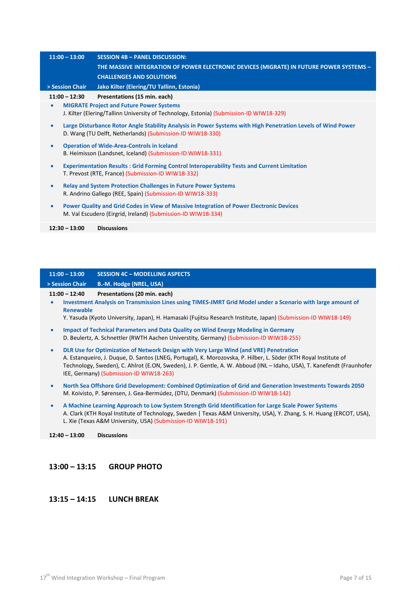| $11:00 - 13:00$ | <b>SESSION 4B - PANEL DISCUSSION:</b>                                                                                                                                     |  |  |  |
|-----------------|---------------------------------------------------------------------------------------------------------------------------------------------------------------------------|--|--|--|
|                 | THE MASSIVE INTEGRATION OF POWER ELECTRONIC DEVICES (MIGRATE) IN FUTURE POWER SYSTEMS -                                                                                   |  |  |  |
|                 | <b>CHALLENGES AND SOLUTIONS</b>                                                                                                                                           |  |  |  |
| > Session Chair | Jako Kilter (Elering/TU Tallinn, Estonia)                                                                                                                                 |  |  |  |
| $11:00 - 12:30$ | Presentations (15 min. each)                                                                                                                                              |  |  |  |
| $\bullet$       | <b>MIGRATE Project and Future Power Systems</b><br>J. Kilter (Elering/Tallinn University of Technology, Estonia) (Submission-ID WIW18-329)                                |  |  |  |
| $\bullet$       | Large Disturbance Rotor Angle Stability Analysis in Power Systems with High Penetration Levels of Wind Power<br>D. Wang (TU Delft, Netherlands) (Submission-ID WIW18-330) |  |  |  |
| $\bullet$       | <b>Operation of Wide-Area-Controls in Iceland</b><br>B. Heimisson (Landsnet, Iceland) (Submission-ID WIW18-331)                                                           |  |  |  |
| $\bullet$       | <b>Experimentation Results: Grid Forming Control Interoperability Tests and Current Limitation</b><br>T. Prevost (RTE, France) (Submission-ID WIW18-332)                  |  |  |  |
| $\bullet$       | <b>Relay and System Protection Challenges in Future Power Systems</b><br>R. Andrino Gallego (REE, Spain) (Submission-ID WIW18-333)                                        |  |  |  |
| $\bullet$       | Power Quality and Grid Codes in View of Massive Integration of Power Electronic Devices<br>M. Val Escudero (Eirgrid, Ireland) (Submission-ID WIW18-334)                   |  |  |  |
| $12:30 - 13:00$ | <b>Discussions</b>                                                                                                                                                        |  |  |  |

| $11:00 - 12:40$          | Presentations (20 min. each)          |
|--------------------------|---------------------------------------|
| > Session Chair <b>b</b> | <b>B.-M. Hodge (NREL, USA)</b>        |
| $11:00 - 13:00$          | <b>SESSION 4C - MODELLING ASPECTS</b> |

• **Investment Analysis on Transmission Lines using TIMES-JMRT Grid Model under a Scenario with large amount of Renewable**

Y. Yasuda (Kyoto University, Japan), H. Hamasaki (Fujitsu Research Institute, Japan) (Submission-ID WIW18-149)

- **Impact of Technical Parameters and Data Quality on Wind Energy Modeling in Germany** D. Beulertz, A. Schnettler (RWTH Aachen Universtity, Germany) (Submission-ID WIW18-255)
- **DLR Use for Optimization of Network Design with Very Large Wind (and VRE) Penetration** A. Estanqueiro, J. Duque, D. Santos (LNEG, Portugal), K. Morozovska, P. Hilber, L. Söder (KTH Royal Institute of Technology, Sweden), C. Ahlrot (E.ON, Sweden), J. P. Gentle, A. W. Abboud (INL – Idaho, USA), T. Kanefendt (Fraunhofer IEE, Germany) (Submission-ID WIW18-263)
- **North Sea Offshore Grid Development: Combined Optimization of Grid and Generation Investments Towards 2050** M. Koivisto, P. Sørensen, J. Gea-Bermúdez, (DTU, Denmark) (Submission-ID WIW18-142)
- **A Machine Learning Approach to Low System Strength Grid Identification for Large Scale Power Systems** A. Clark (KTH Royal Institute of Technology, Sweden | Texas A&M University, USA), Y. Zhang, S. H. Huang (ERCOT, USA), L. Xie (Texas A&M University, USA) (Submission-ID WIW18-191)

**12:40 – 13:00 Discussions**

#### **13:00 – 13:15 GROUP PHOTO**

#### **13:15 – 14:15 LUNCH BREAK**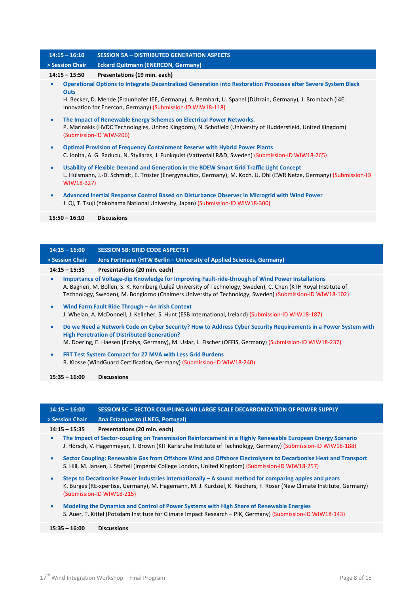| $14:15 - 16:10$          | <b>SESSION 5A - DISTRIBUTED GENERATION ASPECTS</b>                                                                                                                                                                             |  |
|--------------------------|--------------------------------------------------------------------------------------------------------------------------------------------------------------------------------------------------------------------------------|--|
| > Session Chair          | <b>Eckard Quitmann (ENERCON, Germany)</b>                                                                                                                                                                                      |  |
| $14:15 - 15:50$          | Presentations (19 min. each)                                                                                                                                                                                                   |  |
| $\bullet$<br><b>Outs</b> | Operational Options to Integrate Decentralized Generation into Restoration Processes after Severe System Black                                                                                                                 |  |
|                          | H. Becker, D. Mende (Fraunhofer IEE, Germany), A. Bernhart, U. Spanel (DUtrain, Germany), J. Brombach (I4E:<br>Innovation for Enercon, Germany) (Submission-ID WIW18-118)                                                      |  |
| $\bullet$                | The Impact of Renewable Energy Schemes on Electrical Power Networks.<br>P. Marinakis (HVDC Technologies, United Kingdom), N. Schofield (University of Huddersfield, United Kingdom)<br>(Submission-ID WIW-206)                 |  |
| $\bullet$                | <b>Optimal Provision of Frequency Containment Reserve with Hybrid Power Plants</b><br>C. Ionita, A. G. Raducu, N. Styliaras, J. Funkquist (Vattenfall R&D, Sweden) (Submission-ID WIW18-265)                                   |  |
| $\bullet$                | Usability of Flexible Demand and Generation in the BDEW Smart Grid Traffic Light Concept<br>L. Hülsmann, J.-D. Schmidt, E. Tröster (Energynautics, Germany), M. Koch, U. Ohl (EWR Netze, Germany) (Submission-ID<br>WIW18-327) |  |
| $\bullet$                | Advanced Inertial Response Control Based on Disturbance Observer in Microgrid with Wind Power<br>J. Qi, T. Tsuji (Yokohama National University, Japan) (Submission-ID WIW18-300)                                               |  |
| $15:50 - 16:10$          | <b>Discussions</b>                                                                                                                                                                                                             |  |
|                          |                                                                                                                                                                                                                                |  |

|           | $14:15 - 16:00$ | <b>SESSION 5B: GRID CODE ASPECTS I</b>                                                                                                                                                                                                                                                                                         |
|-----------|-----------------|--------------------------------------------------------------------------------------------------------------------------------------------------------------------------------------------------------------------------------------------------------------------------------------------------------------------------------|
|           | > Session Chair | Jens Fortmann (HTW Berlin - University of Applied Sciences, Germany)                                                                                                                                                                                                                                                           |
|           | $14:15 - 15:35$ | Presentations (20 min. each)                                                                                                                                                                                                                                                                                                   |
| $\bullet$ |                 | Importance of Voltage-dip Knowledge for Improving Fault-ride-through of Wind Power Installations<br>A. Bagheri, M. Bollen, S. K. Rönnberg (Luleå University of Technology, Sweden), C. Chen (KTH Royal Institute of<br>Technology, Sweden), M. Bongiorno (Chalmers University of Technology, Sweden) (Submission-ID WIW18-102) |
| $\bullet$ |                 | Wind Farm Fault Ride Through - An Irish Context<br>J. Whelan, A. McDonnell, J. Kelleher, S. Hunt (ESB International, Ireland) (Submission-ID WIW18-187)                                                                                                                                                                        |

- **Do we Need a Network Code on Cyber Security? How to Address Cyber Security Requirements in a Power System with High Penetration of Distributed Generation?** M. Doering, E. Haesen (Ecofys, Germany), M. Uslar, L. Fischer (OFFIS, Germany) (Submission-ID WIW18-237)
- **FRT Test System Compact for 27 MVA with Less Grid Burdens** R. Klosse (WindGuard Certification, Germany) (Submission-ID WIW18-240)

**15:35 – 16:00 Discussions**

| $14:15 - 16:00$ |                 | SESSION 5C - SECTOR COUPLING AND LARGE SCALE DECARBONIZATION OF POWER SUPPLY                                                                                                                                                                                 |
|-----------------|-----------------|--------------------------------------------------------------------------------------------------------------------------------------------------------------------------------------------------------------------------------------------------------------|
| > Session Chair |                 | Ana Estangueiro (LNEG, Portugal)                                                                                                                                                                                                                             |
|                 | $14:15 - 15:35$ | Presentations (20 min. each)                                                                                                                                                                                                                                 |
| $\bullet$       |                 | The Impact of Sector-coupling on Transmission Reinforcement in a Highly Renewable European Energy Scenario<br>J. Hörsch, V. Hagenmeyer, T. Brown (KIT Karlsruhe Institute of Technology, Germany) (Submission-ID WIW18-188)                                  |
| $\bullet$       |                 | Sector Coupling: Renewable Gas from Offshore Wind and Offshore Electrolysers to Decarbonise Heat and Transport<br>S. Hill, M. Jansen, I. Staffell (Imperial College London, United Kingdom) (Submission-ID WIW18-257)                                        |
| $\bullet$       |                 | Steps to Decarbonise Power Industries Internationally $-A$ sound method for comparing apples and pears<br>K. Burges (RE-xpertise, Germany), M. Hagemann, M. J. Kurdziel, K. Riechers, F. Röser (New Climate Institute, Germany)<br>(Submission-ID WIW18-215) |
| $\bullet$       |                 | Modeling the Dynamics and Control of Power Systems with High Share of Renewable Energies<br>S. Auer, T. Kittel (Potsdam Institute for Climate Impact Research – PIK, Germany) (Submission-ID WIW18-143)                                                      |
|                 | $15:35 - 16:00$ | <b>Discussions</b>                                                                                                                                                                                                                                           |
|                 |                 |                                                                                                                                                                                                                                                              |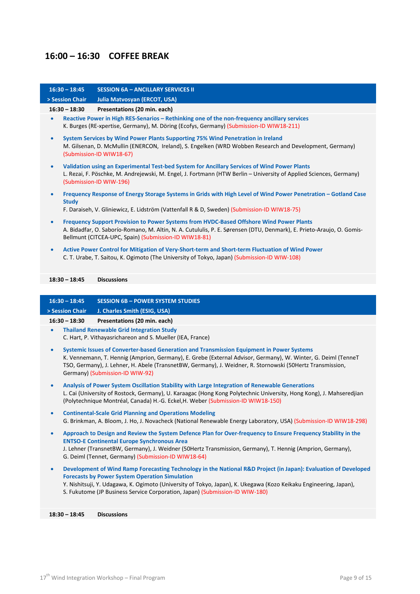## **16:00 – 16:30 COFFEE BREAK**

| $16:30 - 18:45$                                                                                                                                                                                                                                                                                                                                                          | <b>SESSION 6A - ANCILLARY SERVICES II</b>                                                                                                                                                                                                                                                                                                |
|--------------------------------------------------------------------------------------------------------------------------------------------------------------------------------------------------------------------------------------------------------------------------------------------------------------------------------------------------------------------------|------------------------------------------------------------------------------------------------------------------------------------------------------------------------------------------------------------------------------------------------------------------------------------------------------------------------------------------|
| > Session Chair                                                                                                                                                                                                                                                                                                                                                          | Julia Matvosyan (ERCOT, USA)                                                                                                                                                                                                                                                                                                             |
| $16:30 - 18:30$                                                                                                                                                                                                                                                                                                                                                          | Presentations (20 min. each)                                                                                                                                                                                                                                                                                                             |
| $\bullet$                                                                                                                                                                                                                                                                                                                                                                | Reactive Power in High RES-Senarios - Rethinking one of the non-frequency ancillary services<br>K. Burges (RE-xpertise, Germany), M. Döring (Ecofys, Germany) (Submission-ID WIW18-211)                                                                                                                                                  |
| $\bullet$                                                                                                                                                                                                                                                                                                                                                                | System Services by Wind Power Plants Supporting 75% Wind Penetration in Ireland<br>M. Gilsenan, D. McMullin (ENERCON, Ireland), S. Engelken (WRD Wobben Research and Development, Germany)<br>(Submission-ID WIW18-67)                                                                                                                   |
| $\bullet$                                                                                                                                                                                                                                                                                                                                                                | Validation using an Experimental Test-bed System for Ancillary Services of Wind Power Plants<br>L. Rezai, F. Pöschke, M. Andrejewski, M. Engel, J. Fortmann (HTW Berlin - University of Applied Sciences, Germany)<br>(Submission-ID WIW-196)                                                                                            |
| $\bullet$<br><b>Study</b>                                                                                                                                                                                                                                                                                                                                                | Frequency Response of Energy Storage Systems in Grids with High Level of Wind Power Penetration - Gotland Case                                                                                                                                                                                                                           |
|                                                                                                                                                                                                                                                                                                                                                                          | F. Daraiseh, V. Gliniewicz, E. Lidström (Vattenfall R & D, Sweden) (Submission-ID WIW18-75)                                                                                                                                                                                                                                              |
| $\bullet$                                                                                                                                                                                                                                                                                                                                                                | Frequency Support Provision to Power Systems from HVDC-Based Offshore Wind Power Plants<br>A. Bidadfar, O. Saborío-Romano, M. Altin, N. A. Cutululis, P. E. Sørensen (DTU, Denmark), E. Prieto-Araujo, O. Gomis-<br>Bellmunt (CITCEA-UPC, Spain) (Submission-ID WIW18-81)                                                                |
| $\bullet$                                                                                                                                                                                                                                                                                                                                                                | Active Power Control for Mitigation of Very-Short-term and Short-term Fluctuation of Wind Power<br>C. T. Urabe, T. Saitou, K. Ogimoto (The University of Tokyo, Japan) (Submission-ID WIW-108)                                                                                                                                           |
| $18:30 - 18:45$                                                                                                                                                                                                                                                                                                                                                          | <b>Discussions</b>                                                                                                                                                                                                                                                                                                                       |
|                                                                                                                                                                                                                                                                                                                                                                          |                                                                                                                                                                                                                                                                                                                                          |
| $16:30 - 18:45$                                                                                                                                                                                                                                                                                                                                                          | <b>SESSION 6B - POWER SYSTEM STUDIES</b>                                                                                                                                                                                                                                                                                                 |
| > Session Chair                                                                                                                                                                                                                                                                                                                                                          | J. Charles Smith (ESIG, USA)                                                                                                                                                                                                                                                                                                             |
| $16:30 - 18:30$<br>$\bullet$                                                                                                                                                                                                                                                                                                                                             | Presentations (20 min. each)                                                                                                                                                                                                                                                                                                             |
|                                                                                                                                                                                                                                                                                                                                                                          | <b>Thailand Renewable Grid Integration Study</b><br>C. Hart, P. Vithayasrichareon and S. Mueller (IEA, France)                                                                                                                                                                                                                           |
| Systemic Issues of Converter-based Generation and Transmission Equipment in Power Systems<br>$\bullet$<br>K. Vennemann, T. Hennig (Amprion, Germany), E. Grebe (External Advisor, Germany), W. Winter, G. Deiml (TenneT<br>TSO, Germany), J. Lehner, H. Abele (TransnetBW, Germany), J. Weidner, R. Stornowski (50Hertz Transmission,<br>Germany) (Submission-ID WIW-92) |                                                                                                                                                                                                                                                                                                                                          |
|                                                                                                                                                                                                                                                                                                                                                                          |                                                                                                                                                                                                                                                                                                                                          |
| $\bullet$                                                                                                                                                                                                                                                                                                                                                                | Analysis of Power System Oscillation Stability with Large Integration of Renewable Generations<br>L. Cai (University of Rostock, Germany), U. Karaagac (Hong Kong Polytechnic University, Hong Kong), J. Mahseredjian<br>(Polytechnique Montréal, Canada) H.-G. Eckel, H. Weber (Submission-ID WIW18-150)                                |
| $\bullet$                                                                                                                                                                                                                                                                                                                                                                | <b>Continental-Scale Grid Planning and Operations Modeling</b><br>G. Brinkman, A. Bloom, J. Ho, J. Novacheck (National Renewable Energy Laboratory, USA) (Submission-ID WIW18-298)                                                                                                                                                       |
| $\bullet$                                                                                                                                                                                                                                                                                                                                                                | Approach to Design and Review the System Defence Plan for Over-frequency to Ensure Frequency Stability in the<br><b>ENTSO-E Continental Europe Synchronous Area</b><br>J. Lehner (TransnetBW, Germany), J. Weidner (50Hertz Transmission, Germany), T. Hennig (Amprion, Germany),<br>G. Deiml (Tennet, Germany) (Submission-ID WIW18-64) |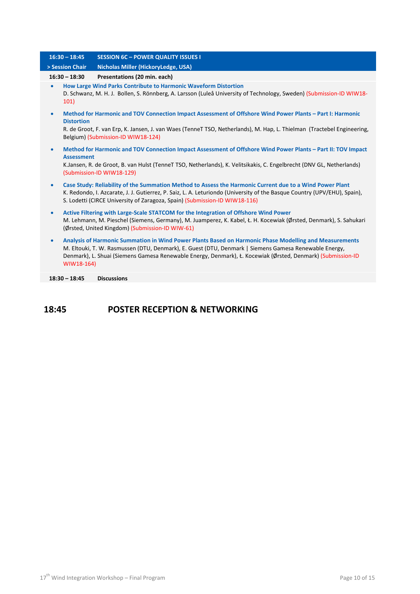| $16:30 - 18:45$                | <b>SESSION 6C - POWER QUALITY ISSUES I</b>                                                                                                                                                                                                                                                                                     |
|--------------------------------|--------------------------------------------------------------------------------------------------------------------------------------------------------------------------------------------------------------------------------------------------------------------------------------------------------------------------------|
| > Session Chair                | Nicholas Miller (HickoryLedge, USA)                                                                                                                                                                                                                                                                                            |
| $16:30 - 18:30$                | Presentations (20 min. each)                                                                                                                                                                                                                                                                                                   |
| $\bullet$<br>101)              | How Large Wind Parks Contribute to Harmonic Waveform Distortion<br>D. Schwanz, M. H. J. Bollen, S. Rönnberg, A. Larsson (Luleå University of Technology, Sweden) (Submission-ID WIW18-                                                                                                                                         |
| $\bullet$<br><b>Distortion</b> | Method for Harmonic and TOV Connection Impact Assessment of Offshore Wind Power Plants - Part I: Harmonic<br>R. de Groot, F. van Erp, K. Jansen, J. van Waes (TenneT TSO, Netherlands), M. Hap, L. Thielman (Tractebel Engineering,<br>Belgium) (Submission-ID WIW18-124)                                                      |
| $\bullet$<br><b>Assessment</b> | Method for Harmonic and TOV Connection Impact Assessment of Offshore Wind Power Plants - Part II: TOV Impact<br>K.Jansen, R. de Groot, B. van Hulst (TenneT TSO, Netherlands), K. Velitsikakis, C. Engelbrecht (DNV GL, Netherlands)<br>(Submission-ID WIW18-129)                                                              |
| $\bullet$                      | Case Study: Reliability of the Summation Method to Assess the Harmonic Current due to a Wind Power Plant<br>K. Redondo, I. Azcarate, J. J. Gutierrez, P. Saiz, L. A. Leturiondo (University of the Basque Country (UPV/EHU), Spain),<br>S. Lodetti (CIRCE University of Zaragoza, Spain) (Submission-ID WIW18-116)             |
| $\bullet$                      | Active Filtering with Large-Scale STATCOM for the Integration of Offshore Wind Power<br>M. Lehmann, M. Pieschel (Siemens, Germany), M. Juamperez, K. Kabel, Ł. H. Kocewiak (Ørsted, Denmark), S. Sahukari<br>(Ørsted, United Kingdom) (Submission-ID WIW-61)                                                                   |
| $\bullet$<br>WIW18-164)        | Analysis of Harmonic Summation in Wind Power Plants Based on Harmonic Phase Modelling and Measurements<br>M. Eltouki, T. W. Rasmussen (DTU, Denmark), E. Guest (DTU, Denmark   Siemens Gamesa Renewable Energy,<br>Denmark), L. Shuai (Siemens Gamesa Renewable Energy, Denmark), Ł. Kocewiak (Ørsted, Denmark) (Submission-ID |
| $18:30 - 18:45$                | <b>Discussions</b>                                                                                                                                                                                                                                                                                                             |
|                                |                                                                                                                                                                                                                                                                                                                                |

### **18:45 POSTER RECEPTION & NETWORKING**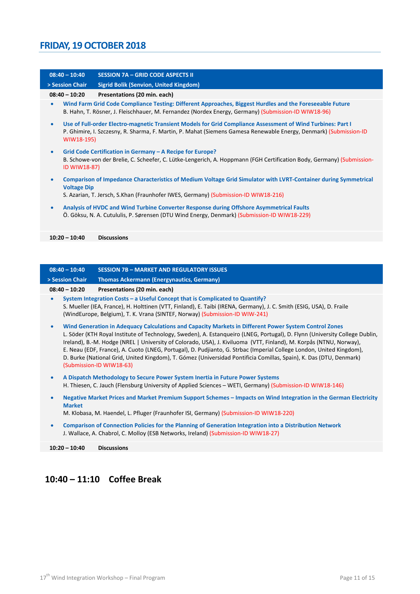# **FRIDAY, 19 OCTOBER 2018**

| $08:40 - 10:40$           | <b>SESSION 7A - GRID CODE ASPECTS II</b>                                                                                                                                                                                         |
|---------------------------|----------------------------------------------------------------------------------------------------------------------------------------------------------------------------------------------------------------------------------|
| > Session Chair           | <b>Sigrid Bolik (Senvion, United Kingdom)</b>                                                                                                                                                                                    |
| $08:40 - 10:20$           | Presentations (20 min. each)                                                                                                                                                                                                     |
| $\bullet$                 | Wind Farm Grid Code Compliance Testing: Different Approaches, Biggest Hurdles and the Foreseeable Future<br>B. Hahn, T. Rösner, J. Fleischhauer, M. Fernandez (Nordex Energy, Germany) (Submission-ID WIW18-96)                  |
| $\bullet$<br>WIW18-195)   | Use of Full-order Electro-magnetic Transient Models for Grid Compliance Assessment of Wind Turbines: Part I<br>P. Ghimire, I. Szczesny, R. Sharma, F. Martin, P. Mahat (Siemens Gamesa Renewable Energy, Denmark) (Submission-ID |
| $\bullet$<br>ID WIW18-87) | Grid Code Certification in Germany – A Recipe for Europe?<br>B. Schowe-von der Brelie, C. Scheefer, C. Lütke-Lengerich, A. Hoppmann (FGH Certification Body, Germany) (Submission-                                               |
| <b>Voltage Dip</b>        | Comparison of Impedance Characteristics of Medium Voltage Grid Simulator with LVRT-Container during Symmetrical<br>S. Azarian, T. Jersch, S.Khan (Fraunhofer IWES, Germany) (Submission-ID WIW18-216)                            |
|                           | Analysis of HVDC and Wind Turbine Converter Response during Offshore Asymmetrical Faults<br>Ö. Göksu, N. A. Cutululis, P. Sørensen (DTU Wind Energy, Denmark) (Submission-ID WIW18-229)                                          |
| $10:20 - 10:40$           | <b>Discussions</b>                                                                                                                                                                                                               |
|                           |                                                                                                                                                                                                                                  |

| $08:40 - 10:40$ | <b>SESSION 7B - MARKET AND REGULATORY ISSUES</b>                                                                                                                                                                                                                                                                                                                                                                                                                                                                                                                                                                                     |  |
|-----------------|--------------------------------------------------------------------------------------------------------------------------------------------------------------------------------------------------------------------------------------------------------------------------------------------------------------------------------------------------------------------------------------------------------------------------------------------------------------------------------------------------------------------------------------------------------------------------------------------------------------------------------------|--|
| > Session Chair | <b>Thomas Ackermann (Energynautics, Germany)</b>                                                                                                                                                                                                                                                                                                                                                                                                                                                                                                                                                                                     |  |
| $08:40 - 10:20$ | Presentations (20 min. each)                                                                                                                                                                                                                                                                                                                                                                                                                                                                                                                                                                                                         |  |
|                 | System Integration Costs - a Useful Concept that is Complicated to Quantify?<br>S. Mueller (IEA, France), H. Holttinen (VTT, Finland), E. Taibi (IRENA, Germany), J. C. Smith (ESIG, USA), D. Fraile<br>(WindEurope, Belgium), T. K. Vrana (SINTEF, Norway) (Submission-ID WIW-241)                                                                                                                                                                                                                                                                                                                                                  |  |
| $\bullet$       | Wind Generation in Adequacy Calculations and Capacity Markets in Different Power System Control Zones<br>L. Söder (KTH Royal Institute of Technology, Sweden), A. Estanqueiro (LNEG, Portugal), D. Flynn (University College Dublin,<br>Ireland), B.-M. Hodge (NREL   University of Colorado, USA), J. Kiviluoma (VTT, Finland), M. Korpås (NTNU, Norway),<br>E. Neau (EDF, France), A. Cuoto (LNEG, Portugal), D. Pudjianto, G. Strbac (Imperial College London, United Kingdom),<br>D. Burke (National Grid, United Kingdom), T. Gómez (Universidad Pontificia Comillas, Spain), K. Das (DTU, Denmark)<br>(Submission-ID WIW18-63) |  |
| $\bullet$       | A Dispatch Methodology to Secure Power System Inertia in Future Power Systems<br>H. Thiesen, C. Jauch (Flensburg University of Applied Sciences – WETI, Germany) (Submission-ID WIW18-146)                                                                                                                                                                                                                                                                                                                                                                                                                                           |  |
| <b>Market</b>   | Negative Market Prices and Market Premium Support Schemes – Impacts on Wind Integration in the German Electricity<br>M. Klobasa, M. Haendel, L. Pfluger (Fraunhofer ISI, Germany) (Submission-ID WIW18-220)                                                                                                                                                                                                                                                                                                                                                                                                                          |  |
|                 | Comparison of Connection Policies for the Planning of Generation Integration into a Distribution Network<br>J. Wallace, A. Chabrol, C. Molloy (ESB Networks, Ireland) (Submission-ID WIW18-27)                                                                                                                                                                                                                                                                                                                                                                                                                                       |  |

**10:20 – 10:40 Discussions**

# **10:40 – 11:10 Coffee Break**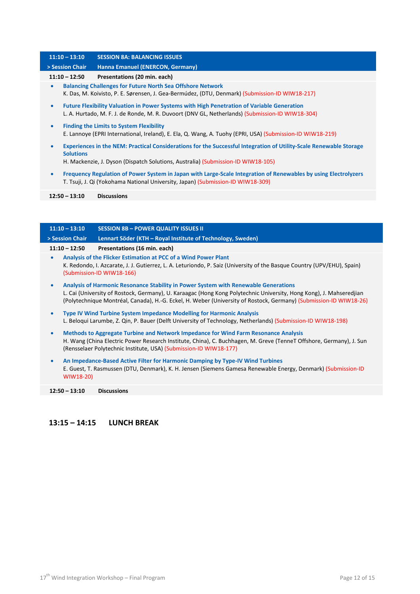#### **11:10 – 13:10 SESSION 8A: BALANCING ISSUES > Session Chair Hanna Emanuel (ENERCON, Germany) 11:10 – 12:50 Presentations (20 min. each)** • **Balancing Challenges for Future North Sea Offshore Network** K. Das, M. Koivisto, P. E. Sørensen, J. Gea-Bermúdez, (DTU, Denmark) (Submission-ID WIW18-217) • **Future Flexibility Valuation in Power Systems with High Penetration of Variable Generation** L. A. Hurtado, M. F. J. de Ronde, M. R. Duvoort (DNV GL, Netherlands) (Submission-ID WIW18-304) • **Finding the Limits to System Flexibility** E. Lannoye (EPRI International, Ireland), E. Ela, Q. Wang, A. Tuohy (EPRI, USA) (Submission-ID WIW18-219) • **Experiences in the NEM: Practical Considerations for the Successful Integration of Utility-Scale Renewable Storage Solutions** H. Mackenzie, J. Dyson (Dispatch Solutions, Australia) (Submission-ID WIW18-105) • **Frequency Regulation of Power System in Japan with Large-Scale Integration of Renewables by using Electrolyzers** T. Tsuji, J. Qi (Yokohama National University, Japan) (Submission-ID WIW18-309) **12:50 – 13:10 Discussions**

|           | $11:10 - 13:10$ | <b>SESSION 8B - POWER QUALITY ISSUES II</b>                                                                                                                                                                                                                                                                                     |
|-----------|-----------------|---------------------------------------------------------------------------------------------------------------------------------------------------------------------------------------------------------------------------------------------------------------------------------------------------------------------------------|
|           | > Session Chair | Lennart Söder (KTH - Royal Institute of Technology, Sweden)                                                                                                                                                                                                                                                                     |
|           | $11:10 - 12:50$ | Presentations (16 min. each)                                                                                                                                                                                                                                                                                                    |
| $\bullet$ |                 | Analysis of the Flicker Estimation at PCC of a Wind Power Plant<br>K. Redondo, I. Azcarate, J. J. Gutierrez, L. A. Leturiondo, P. Saiz (University of the Basque Country (UPV/EHU), Spain)<br>(Submission-ID WIW18-166)                                                                                                         |
| $\bullet$ |                 | Analysis of Harmonic Resonance Stability in Power System with Renewable Generations<br>L. Cai (University of Rostock, Germany), U. Karaagac (Hong Kong Polytechnic University, Hong Kong), J. Mahseredjian<br>(Polytechnique Montréal, Canada), H.-G. Eckel, H. Weber (University of Rostock, Germany) (Submission-ID WIW18-26) |
| $\bullet$ |                 | <b>Type IV Wind Turbine System Impedance Modelling for Harmonic Analysis</b><br>L. Beloqui Larumbe, Z. Qin, P. Bauer (Delft University of Technology, Netherlands) (Submission-ID WIW18-198)                                                                                                                                    |
| $\bullet$ |                 | Methods to Aggregate Turbine and Network Impedance for Wind Farm Resonance Analysis<br>H. Wang (China Electric Power Research Institute, China), C. Buchhagen, M. Greve (TenneT Offshore, Germany), J. Sun<br>(Rensselaer Polytechnic Institute, USA) (Submission-ID WIW18-177)                                                 |
| $\bullet$ |                 | An Impedance-Based Active Filter for Harmonic Damping by Type-IV Wind Turbines<br>E. Guest, T. Rasmussen (DTU, Denmark), K. H. Jensen (Siemens Gamesa Renewable Energy, Denmark) (Submission-ID                                                                                                                                 |

**12:50 – 13:10 Discussions**

WIW18-20)

#### **13:15 – 14:15 LUNCH BREAK**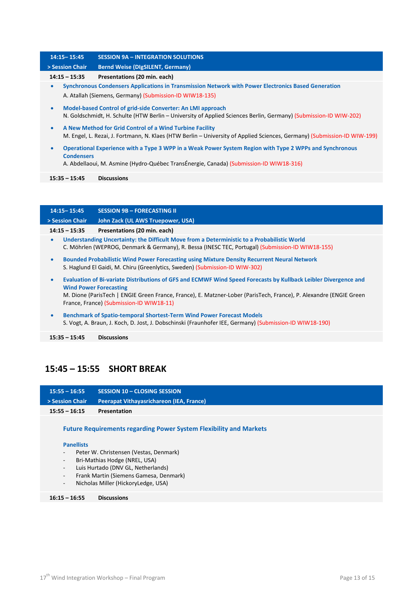### **14:15– 15:45 SESSION 9A – INTEGRATION SOLUTIONS > Session Chair Bernd Weise (DIgSILENT, Germany) 14:15 – 15:35 Presentations (20 min. each)** • **Synchronous Condensers Applications in Transmission Network with Power Electronics Based Generation** A. Atallah (Siemens, Germany) (Submission-ID WIW18-135) • **Model-based Control of grid-side Converter: An LMI approach** N. Goldschmidt, H. Schulte (HTW Berlin – University of Applied Sciences Berlin, Germany) (Submission-ID WIW-202) • **A New Method for Grid Control of a Wind Turbine Facility** M. Engel, L. Rezai, J. Fortmann, N. Klaes (HTW Berlin – University of Applied Sciences, Germany) (Submission-ID WIW-199) • **Operational Experience with a Type 3 WPP in a Weak Power System Region with Type 2 WPPs and Synchronous Condensers** A. Abdellaoui, M. Asmine (Hydro-Québec TransÉnergie, Canada) (Submission-ID WIW18-316) **15:35 – 15:45 Discussions 14:15– 15:45 SESSION 9B – FORECASTING II**

**> Session Chair John Zack (UL AWS Truepower, USA) 14:15 – 15:35 Presentations (20 min. each)** • **Understanding Uncertainty: the Difficult Move from a Deterministic to a Probabilistic World** C. Möhrlen (WEPROG, Denmark & Germany), R. Bessa (INESC TEC, Portugal) (Submission-ID WIW18-155) • **Bounded Probabilistic Wind Power Forecasting using Mixture Density Recurrent Neural Network** S. Haglund El Gaidi, M. Chiru (Greenlytics, Sweden) (Submission-ID WIW-302) • **Evaluation of Bi-variate Distributions of GFS and ECMWF Wind Speed Forecasts by Kullback Leibler Divergence and Wind Power Forecasting** M. Dione (ParisTech | ENGIE Green France, France), E. Matzner-Lober (ParisTech, France), P. Alexandre (ENGIE Green France, France) (Submission-ID WIW18-11)

• **Benchmark of Spatio-temporal Shortest-Term Wind Power Forecast Models** S. Vogt, A. Braun, J. Koch, D. Jost, J. Dobschinski (Fraunhofer IEE, Germany) (Submission-ID WIW18-190)

**15:35 – 15:45 Discussions**

# **15:45 – 15:55 SHORT BREAK**

| $15:55 - 16:55$ | SESSION 10 - CLOSING SESSION                                              |
|-----------------|---------------------------------------------------------------------------|
| > Session Chair | <b>Peerapat Vithayasrichareon (IEA, France)</b>                           |
| $15:55 - 16:15$ | <b>Presentation</b>                                                       |
|                 | <b>Future Requirements regarding Power System Flexibility and Markets</b> |

#### **Panellists**

- Peter W. Christensen (Vestas, Denmark)
- Bri-Mathias Hodge (NREL, USA)
- Luis Hurtado (DNV GL, Netherlands)
- Frank Martin (Siemens Gamesa, Denmark)
- Nicholas Miller (HickoryLedge, USA)

#### **16:15 – 16:55 Discussions**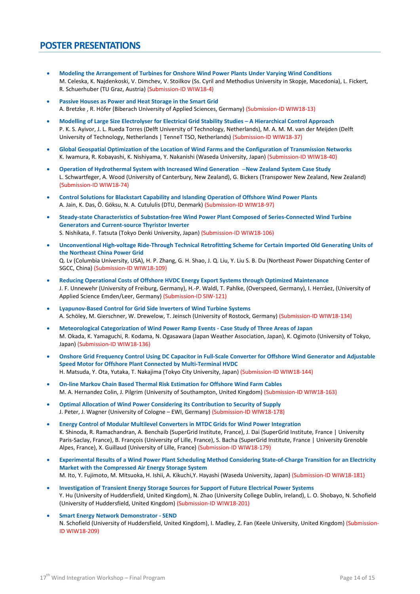### **POSTER PRESENTATIONS**

- **Modeling the Arrangement of Turbines for Onshore Wind Power Plants Under Varying Wind Conditions** M. Celeska, K. Najdenkoski, V. Dimchev, V. Stoilkov (Ss. Cyril and Methodius University in Skopje, Macedonia), L. Fickert, R. Schuerhuber (TU Graz, Austria) (Submission-ID WIW18-4)
- **Passive Houses as Power and Heat Storage in the Smart Grid** A. Bretzke , R. Höfer (Biberach University of Applied Sciences, Germany) (Submission-ID WIW18-13)
- **Modelling of Large Size Electrolyser for Electrical Grid Stability Studies – A Hierarchical Control Approach** P. K. S. Ayivor, J. L. Rueda Torres (Delft University of Technology, Netherlands), M. A. M. M. van der Meijden (Delft University of Technology, Netherlands | TenneT TSO, Netherlands) (Submission-ID WIW18-37)
- **Global Geospatial Optimization of the Location of Wind Farms and the Configuration of Transmission Networks** K. Iwamura, R. Kobayashi, K. Nishiyama, Y. Nakanishi (Waseda University, Japan) (Submission-ID WIW18-40)
- **Operation of Hydrothermal System with Increased Wind Generation** –**New Zealand System Case Study** L. Schwartfeger, A. Wood (University of Canterbury, New Zealand), G. Bickers (Transpower New Zealand, New Zealand) (Submission-ID WIW18-74)
- **Control Solutions for Blackstart Capability and Islanding Operation of Offshore Wind Power Plants** A. Jain, K. Das, Ö. Göksu, N. A. Cutululis (DTU, Denmark) (Submission-ID WIW18-97)
- **Steady-state Characteristics of Substation-free Wind Power Plant Composed of Series-Connected Wind Turbine Generators and Current-source Thyristor Inverter** S. Nishikata, F. Tatsuta (Tokyo Denki University, Japan) (Submission-ID WIW18-106)
- **Unconventional High-voltage Ride-Through Technical Retrofitting Scheme for Certain Imported Old Generating Units of the Northeast China Power Grid** Q. Lv (Columbia University, USA), H. P. Zhang, G. H. Shao, J. Q. Liu, Y. Liu S. B. Du (Northeast Power Dispatching Center of SGCC, China) (Submission-ID WIW18-109)
- **Reducing Operational Costs of Offshore HVDC Energy Export Systems through Optimized Maintenance** J. F. Unnewehr (University of Freiburg, Germany), H.-P. Waldl, T. Pahlke, (Overspeed, Germany), I. Herráez, (University of Applied Science Emden/Leer, Germany) (Submission-ID SIW-121)
- **Lyapunov-Based Control for Grid Side Inverters of Wind Turbine Systems** A. Schöley, M. Gierschner, W. Drewelow, T. Jeinsch (University of Rostock, Germany) (Submission-ID WIW18-134)
- **Meteorological Categorization of Wind Power Ramp Events - Case Study of Three Areas of Japan** M. Okada, K. Yamaguchi, R. Kodama, N. Ogasawara (Japan Weather Association, Japan), K. Ogimoto (University of Tokyo, Japan) (Submission-ID WIW18-136)
- **Onshore Grid Frequency Control Using DC Capacitor in Full-Scale Converter for Offshore Wind Generator and Adjustable Speed Motor for Offshore Plant Connected by Multi-Terminal HVDC** H. Matsuda, Y. Ota, Yutaka, T. Nakajima (Tokyo City University, Japan) (Submission-ID WIW18-144)
- **On-line Markov Chain Based Thermal Risk Estimation for Offshore Wind Farm Cables** M. A. Hernandez Colin, J. Pilgrim (University of Southampton, United Kingdom) (Submission-ID WIW18-163)
- **Optimal Allocation of Wind Power Considering its Contribution to Security of Supply** J. Peter, J. Wagner (University of Cologne – EWI, Germany) (Submission-ID WIW18-178)
- **Energy Control of Modular Multilevel Converters in MTDC Grids for Wind Power Integration** K. Shinoda, R. Ramachandran, A. Benchaib (SuperGrid Institute, France), J. Dai (SuperGrid Institute, France | University Paris-Saclay, France), B. François (University of Lille, France), S. Bacha (SuperGrid Institute, France | University Grenoble Alpes, France), X. Guillaud (University of Lille, France) (Submission-ID WIW18-179)
- **Experimental Results of a Wind Power Plant Scheduling Method Considering State-of-Charge Transition for an Electricity Market with the Compressed Air Energy Storage System** M. Ito, Y. Fujimoto, M. Mitsuoka, H. Ishii, A. Kikuchi,Y. Hayashi (Waseda University, Japan) (Submission-ID WIW18-181)
- **Investigation of Transient Energy Storage Sources for Support of Future Electrical Power Systems** Y. Hu (University of Huddersfield, United Kingdom), N. Zhao (University College Dublin, Ireland), L. O. Shobayo, N. Schofield (University of Huddersfield, United Kingdom) (Submission-ID WIW18-201)
- **Smart Energy Network Demonstrator - SEND** N. Schofield (University of Huddersfield, United Kingdom), I. Madley, Z. Fan (Keele University, United Kingdom) (Submission-ID WIW18-209)